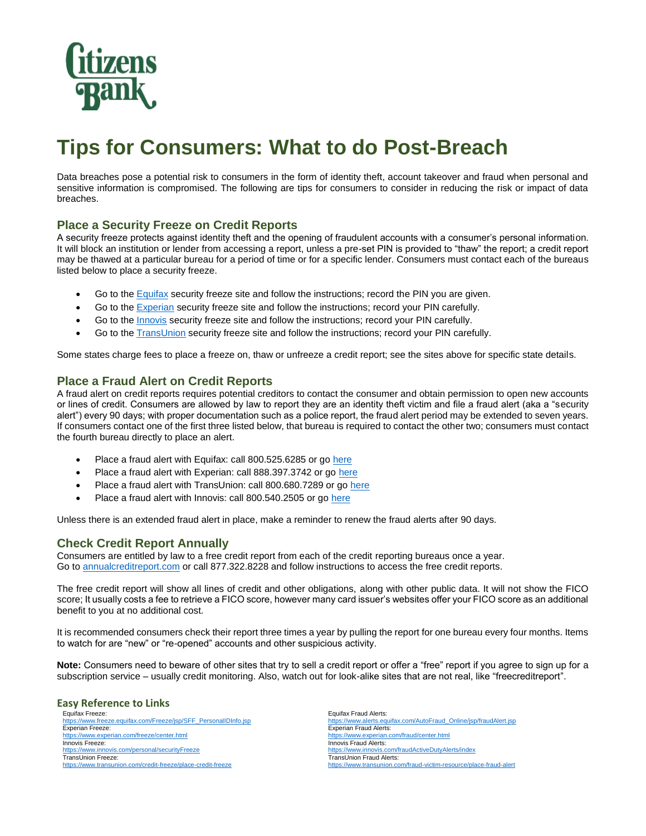

# **Tips for Consumers: What to do Post-Breach**

Data breaches pose a potential risk to consumers in the form of identity theft, account takeover and fraud when personal and sensitive information is compromised. The following are tips for consumers to consider in reducing the risk or impact of data breaches.

## **Place a Security Freeze on Credit Reports**

A security freeze protects against identity theft and the opening of fraudulent accounts with a consumer's personal information. It will block an institution or lender from accessing a report, unless a pre-set PIN is provided to "thaw" the report; a credit report may be thawed at a particular bureau for a period of time or for a specific lender. Consumers must contact each of the bureaus listed below to place a security freeze.

- Go to the **Equifax** security freeze site and follow the instructions; record the PIN you are given.
- Go to th[e Experian](https://www.experian.com/freeze/center.html) security freeze site and follow the instructions; record your PIN carefully.
- Go to the **Innovis** security freeze site and follow the instructions; record your PIN carefully.
- Go to th[e TransUnion](https://www.transunion.com/credit-freeze/place-credit-freeze) security freeze site and follow the instructions; record your PIN carefully.

Some states charge fees to place a freeze on, thaw or unfreeze a credit report; see the sites above for specific state details.

## **Place a Fraud Alert on Credit Reports**

A fraud alert on credit reports requires potential creditors to contact the consumer and obtain permission to open new accounts or lines of credit. Consumers are allowed by law to report they are an identity theft victim and file a fraud alert (aka a "security alert") every 90 days; with proper documentation such as a police report, the fraud alert period may be extended to seven years. If consumers contact one of the first three listed below, that bureau is required to contact the other two; consumers must contact the fourth bureau directly to place an alert.

- Place a fraud alert with Equifax: call 800.525.6285 or g[o here](https://www.equifax.com/personal/credit-report-services/credit-fraud-alerts/)
- Place a fraud alert with Experian: call 888.397.3742 or go [here](https://www.experian.com/fraud/center.html)
- Place a fraud alert with TransUnion: call 800.680.7289 or go [here](https://www.transunion.com/fraud-victim-resource/place-fraud-alert)
- Place a fraud alert with Innovis: call 800.540.2505 or go [here](https://www.innovis.com/fraudActiveDutyAlerts/index)

Unless there is an extended fraud alert in place, make a reminder to renew the fraud alerts after 90 days.

## **Check Credit Report Annually**

Consumers are entitled by law to a free credit report from each of the credit reporting bureaus once a year. Go t[o annualcreditreport.com](https://www.annualcreditreport.com/index.action) or call 877.322.8228 and follow instructions to access the free credit reports.

The free credit report will show all lines of credit and other obligations, along with other public data. It will not show the FICO score; It usually costs a fee to retrieve a FICO score, however many card issuer's websites offer your FICO score as an additional benefit to you at no additional cost.

It is recommended consumers check their report three times a year by pulling the report for one bureau every four months. Items to watch for are "new" or "re-opened" accounts and other suspicious activity.

**Note:** Consumers need to beware of other sites that try to sell a credit report or offer a "free" report if you agree to sign up for a subscription service – usually credit monitoring. Also, watch out for look-alike sites that are not real, like "freecreditreport".

#### **Easy Reference to Links**

Equifax Freeze: [https://www.freeze.equifax.com/Freeze/jsp/SFF\\_PersonalIDInfo.jsp](https://www.equifax.com/personal/credit-report-services/credit-freeze/) Experian Freeze:<br>https://www.exper ww.experian.com/freeze/center.html Innovis Freeze: <https://www.innovis.com/personal/securityFreeze> TransUnion Freeze: <https://www.transunion.com/credit-freeze/place-credit-freeze>

Equifax Fraud Alerts: [https://www.alerts.equifax.com/AutoFraud\\_Online/jsp/fraudAlert.jsp](https://www.equifax.com/personal/credit-report-services/credit-fraud-alerts/) Experian Fraud Alerts:<br>https://www.experian.co w.experian.com/fraud/center.html Innovis Fraud Alerts: <https://www.innovis.com/fraudActiveDutyAlerts/index> TransUnion Fraud Alerts: <https://www.transunion.com/fraud-victim-resource/place-fraud-alert>